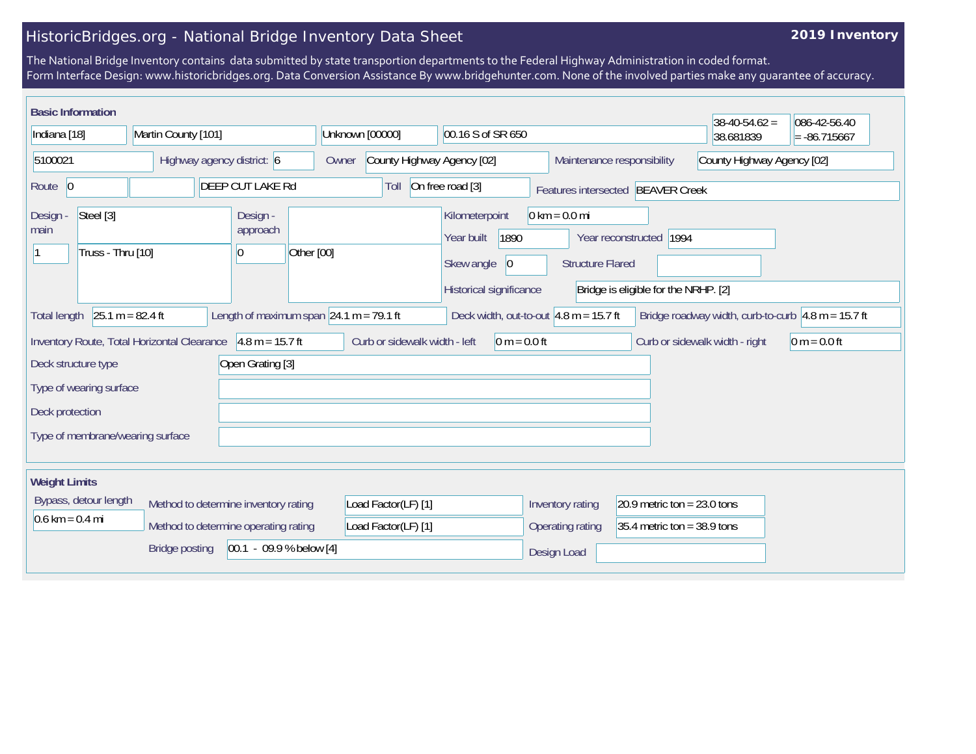## HistoricBridges.org - National Bridge Inventory Data Sheet

## **2019 Inventory**

The National Bridge Inventory contains data submitted by state transportion departments to the Federal Highway Administration in coded format. Form Interface Design: www.historicbridges.org. Data Conversion Assistance By www.bridgehunter.com. None of the involved parties make any guarantee of accuracy.

| <b>Basic Information</b>                           |                                             |                                                      |                                                  |                                                          |                                                                                         |                                      | $38-40-54.62 =$            | 086-42-56.40                                                               |
|----------------------------------------------------|---------------------------------------------|------------------------------------------------------|--------------------------------------------------|----------------------------------------------------------|-----------------------------------------------------------------------------------------|--------------------------------------|----------------------------|----------------------------------------------------------------------------|
| Indiana [18]                                       | Martin County [101]                         |                                                      | Unknown [00000]                                  | 00.16 S of SR 650                                        |                                                                                         |                                      | 38.681839                  | $= -86.715667$                                                             |
| 5100021                                            | Highway agency district: 6                  |                                                      | County Highway Agency [02]<br>Owner              |                                                          | Maintenance responsibility                                                              |                                      | County Highway Agency [02] |                                                                            |
| Route 0                                            |                                             | <b>DEEP CUT LAKE Rd</b>                              | Toll                                             | On free road [3]                                         | Features intersected BEAVER Creek                                                       |                                      |                            |                                                                            |
| Steel [3]<br>Design -<br>main<br>Truss - Thru [10] |                                             | Design -<br>approach<br>Other [00]<br>$\overline{0}$ |                                                  | Kilometerpoint<br>1890<br>Year built<br>Skew angle<br> 0 | $0 \text{ km} = 0.0 \text{ mi}$<br>Year reconstructed   1994<br><b>Structure Flared</b> |                                      |                            |                                                                            |
|                                                    |                                             |                                                      |                                                  | Historical significance                                  |                                                                                         | Bridge is eligible for the NRHP. [2] |                            |                                                                            |
| $25.1 m = 82.4 ft$<br><b>Total length</b>          |                                             |                                                      | Length of maximum span $\sqrt{24.1}$ m = 79.1 ft | Deck width, out-to-out $4.8$ m = 15.7 ft                 |                                                                                         |                                      |                            | Bridge roadway width, curb-to-curb $\vert 4.8 \text{ m} = 15.7 \text{ ft}$ |
|                                                    | Inventory Route, Total Horizontal Clearance | $4.8 m = 15.7 ft$                                    | Curb or sidewalk width - left                    | $0 m = 0.0 ft$                                           |                                                                                         | Curb or sidewalk width - right       |                            | $0 m = 0.0 ft$                                                             |
| Deck structure type                                |                                             | Open Grating [3]                                     |                                                  |                                                          |                                                                                         |                                      |                            |                                                                            |
| Type of wearing surface                            |                                             |                                                      |                                                  |                                                          |                                                                                         |                                      |                            |                                                                            |
| Deck protection                                    |                                             |                                                      |                                                  |                                                          |                                                                                         |                                      |                            |                                                                            |
| Type of membrane/wearing surface                   |                                             |                                                      |                                                  |                                                          |                                                                                         |                                      |                            |                                                                            |
| <b>Weight Limits</b>                               |                                             |                                                      |                                                  |                                                          |                                                                                         |                                      |                            |                                                                            |
| Bypass, detour length                              | Method to determine inventory rating        |                                                      | Load Factor(LF) [1]                              |                                                          | Inventory rating                                                                        | 20.9 metric ton = $23.0$ tons        |                            |                                                                            |
| $0.6 \text{ km} = 0.4 \text{ mi}$                  | Method to determine operating rating        |                                                      | Load Factor(LF) [1]                              |                                                          | Operating rating                                                                        | $35.4$ metric ton = 38.9 tons        |                            |                                                                            |
|                                                    | <b>Bridge posting</b>                       | $[00.1 - 09.9 %$ below [4]                           |                                                  |                                                          | Design Load                                                                             |                                      |                            |                                                                            |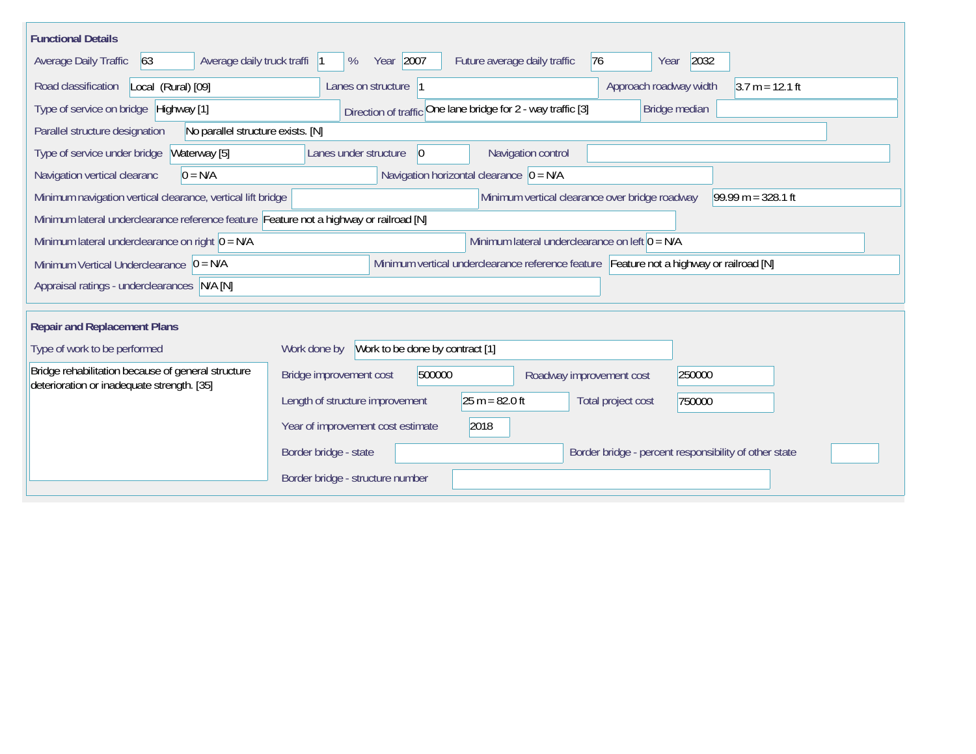| <b>Functional Details</b>                                                                                                             |                                                                                         |  |  |  |  |  |  |  |  |
|---------------------------------------------------------------------------------------------------------------------------------------|-----------------------------------------------------------------------------------------|--|--|--|--|--|--|--|--|
| 63<br>Average daily truck traffi<br>Average Daily Traffic                                                                             | Year 2007<br>2032<br>Future average daily traffic<br>76<br>%<br>Year                    |  |  |  |  |  |  |  |  |
| Road classification<br>Local (Rural) [09]                                                                                             | $3.7 m = 12.1 ft$<br>Lanes on structure  1<br>Approach roadway width                    |  |  |  |  |  |  |  |  |
| Type of service on bridge Highway [1]                                                                                                 | Direction of traffic One lane bridge for 2 - way traffic [3]<br>Bridge median           |  |  |  |  |  |  |  |  |
| Parallel structure designation<br>No parallel structure exists. [N]                                                                   |                                                                                         |  |  |  |  |  |  |  |  |
| Type of service under bridge<br>Waterway [5]                                                                                          | Navigation control<br>Lanes under structure<br>$\vert 0 \vert$                          |  |  |  |  |  |  |  |  |
| $0 = N/A$<br>Navigation vertical clearanc                                                                                             | Navigation horizontal clearance $ 0 = N/A $                                             |  |  |  |  |  |  |  |  |
| Minimum vertical clearance over bridge roadway<br>$99.99 m = 328.1 ft$<br>Minimum navigation vertical clearance, vertical lift bridge |                                                                                         |  |  |  |  |  |  |  |  |
| Minimum lateral underclearance reference feature Feature not a highway or railroad [N]                                                |                                                                                         |  |  |  |  |  |  |  |  |
| Minimum lateral underclearance on left $0 = N/A$<br>Minimum lateral underclearance on right $0 = N/A$                                 |                                                                                         |  |  |  |  |  |  |  |  |
| Minimum Vertical Underclearance $ 0 = N/A $                                                                                           | Minimum vertical underclearance reference feature Feature not a highway or railroad [N] |  |  |  |  |  |  |  |  |
| Appraisal ratings - underclearances N/A [N]                                                                                           |                                                                                         |  |  |  |  |  |  |  |  |
|                                                                                                                                       |                                                                                         |  |  |  |  |  |  |  |  |
| <b>Repair and Replacement Plans</b>                                                                                                   |                                                                                         |  |  |  |  |  |  |  |  |
| Type of work to be performed                                                                                                          | Work to be done by contract [1]<br>Work done by                                         |  |  |  |  |  |  |  |  |
| Bridge rehabilitation because of general structure<br>deterioration or inadequate strength. [35]                                      | Bridge improvement cost<br>500000<br>250000<br>Roadway improvement cost                 |  |  |  |  |  |  |  |  |
|                                                                                                                                       | $25 m = 82.0 ft$<br>Length of structure improvement<br>Total project cost<br>750000     |  |  |  |  |  |  |  |  |
|                                                                                                                                       | 2018<br>Year of improvement cost estimate                                               |  |  |  |  |  |  |  |  |
|                                                                                                                                       | Border bridge - state<br>Border bridge - percent responsibility of other state          |  |  |  |  |  |  |  |  |
|                                                                                                                                       | Border bridge - structure number                                                        |  |  |  |  |  |  |  |  |